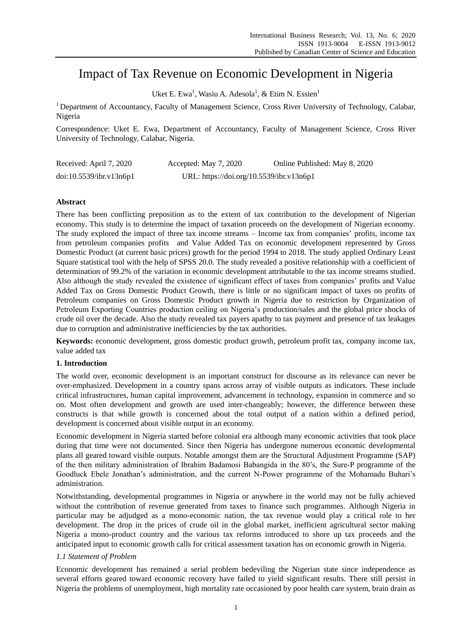# Impact of Tax Revenue on Economic Development in Nigeria

Uket E. Ewa<sup>1</sup>, Wasiu A. Adesola<sup>1</sup>, & Etim N. Essien<sup>1</sup>

<sup>1</sup> Department of Accountancy, Faculty of Management Science, Cross River University of Technology, Calabar, Nigeria

Correspondence: Uket E. Ewa, Department of Accountancy, Faculty of Management Science, Cross River University of Technology, Calabar, Nigeria.

| Received: April 7, 2020 | Accepted: May 7, 2020                    | Online Published: May 8, 2020 |
|-------------------------|------------------------------------------|-------------------------------|
| doi:10.5539/ibr.v13n6p1 | URL: https://doi.org/10.5539/ibr.v13n6p1 |                               |

# **Abstract**

There has been conflicting preposition as to the extent of tax contribution to the development of Nigerian economy. This study is to determine the impact of taxation proceeds on the development of Nigerian economy. The study explored the impact of three tax income streams – Income tax from companies' profits, income tax from petroleum companies profits and Value Added Tax on economic development represented by Gross Domestic Product (at current basic prices) growth for the period 1994 to 2018. The study applied Ordinary Least Square statistical tool with the help of SPSS 20.0. The study revealed a positive relationship with a coefficient of determination of 99.2% of the variation in economic development attributable to the tax income streams studied. Also although the study revealed the existence of significant effect of taxes from companies' profits and Value Added Tax on Gross Domestic Product Growth, there is little or no significant impact of taxes on profits of Petroleum companies on Gross Domestic Product growth in Nigeria due to restriction by Organization of Petroleum Exporting Countries production ceiling on Nigeria's production/sales and the global price shocks of crude oil over the decade. Also the study revealed tax payers apathy to tax payment and presence of tax leakages due to corruption and administrative inefficiencies by the tax authorities.

**Keywords:** economic development, gross domestic product growth, petroleum profit tax, company income tax, value added tax

# **1. Introduction**

The world over, economic development is an important construct for discourse as its relevance can never be over-emphasized. Development in a country spans across array of visible outputs as indicators. These include critical infrastructures, human capital improvement, advancement in technology, expansion in commerce and so on. Most often development and growth are used inter-changeably; however, the difference between these constructs is that while growth is concerned about the total output of a nation within a defined period, development is concerned about visible output in an economy.

Economic development in Nigeria started before colonial era although many economic activities that took place during that time were not documented. Since then Nigeria has undergone numerous economic developmental plans all geared toward visible outputs. Notable amongst them are the Structural Adjustment Programme (SAP) of the then military administration of Ibrahim Badamosi Babangida in the 80's, the Sure-P programme of the Goodluck Ebele Jonathan's administration, and the current N-Power programme of the Mohamadu Buhari's administration.

Notwithstanding, developmental programmes in Nigeria or anywhere in the world may not be fully achieved without the contribution of revenue generated from taxes to finance such programmes. Although Nigeria in particular may be adjudged as a mono-economic nation, the tax revenue would play a critical role to her development. The drop in the prices of crude oil in the global market, inefficient agricultural sector making Nigeria a mono-product country and the various tax reforms introduced to shore up tax proceeds and the anticipated input to economic growth calls for critical assessment taxation has on economic growth in Nigeria.

# *1.1 Statement of Problem*

Economic development has remained a serial problem bedeviling the Nigerian state since independence as several efforts geared toward economic recovery have failed to yield significant results. There still persist in Nigeria the problems of unemployment, high mortality rate occasioned by poor health care system, brain drain as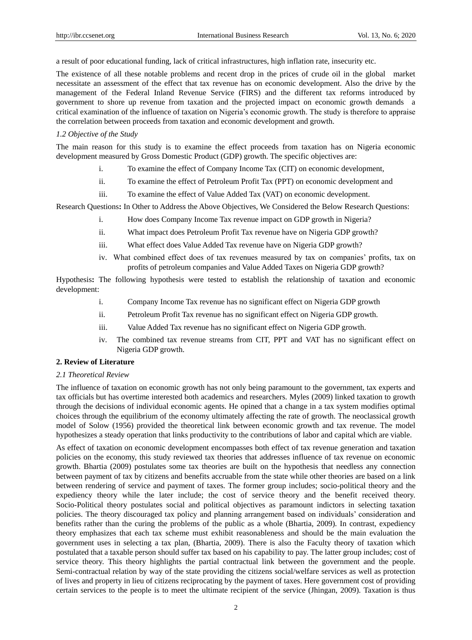a result of poor educational funding, lack of critical infrastructures, high inflation rate, insecurity etc.

The existence of all these notable problems and recent drop in the prices of crude oil in the global market necessitate an assessment of the effect that tax revenue has on economic development. Also the drive by the management of the Federal Inland Revenue Service (FIRS) and the different tax reforms introduced by government to shore up revenue from taxation and the projected impact on economic growth demands a critical examination of the influence of taxation on Nigeria's economic growth. The study is therefore to appraise the correlation between proceeds from taxation and economic development and growth.

#### *1.2 Objective of the Study*

The main reason for this study is to examine the effect proceeds from taxation has on Nigeria economic development measured by Gross Domestic Product (GDP) growth. The specific objectives are:

- i. To examine the effect of Company Income Tax (CIT) on economic development,
- ii. To examine the effect of Petroleum Profit Tax (PPT) on economic development and
- iii. To examine the effect of Value Added Tax (VAT) on economic development.

Research Questions**:** In Other to Address the Above Objectives, We Considered the Below Research Questions:

- i. How does Company Income Tax revenue impact on GDP growth in Nigeria?
- ii. What impact does Petroleum Profit Tax revenue have on Nigeria GDP growth?
- iii. What effect does Value Added Tax revenue have on Nigeria GDP growth?
- iv. What combined effect does of tax revenues measured by tax on companies' profits, tax on profits of petroleum companies and Value Added Taxes on Nigeria GDP growth?

Hypothesis**:** The following hypothesis were tested to establish the relationship of taxation and economic development:

- i. Company Income Tax revenue has no significant effect on Nigeria GDP growth
- ii. Petroleum Profit Tax revenue has no significant effect on Nigeria GDP growth.
- iii. Value Added Tax revenue has no significant effect on Nigeria GDP growth.
- iv. The combined tax revenue streams from CIT, PPT and VAT has no significant effect on Nigeria GDP growth.

#### **2. Review of Literature**

#### *2.1 Theoretical Review*

The influence of taxation on economic growth has not only being paramount to the government, tax experts and tax officials but has overtime interested both academics and researchers. Myles (2009) linked taxation to growth through the decisions of individual economic agents. He opined that a change in a tax system modifies optimal choices through the equilibrium of the economy ultimately affecting the rate of growth. The neoclassical growth model of Solow (1956) provided the theoretical link between economic growth and tax revenue. The model hypothesizes a steady operation that links productivity to the contributions of labor and capital which are viable.

As effect of taxation on economic development encompasses both effect of tax revenue generation and taxation policies on the economy, this study reviewed tax theories that addresses influence of tax revenue on economic growth. Bhartia (2009) postulates some tax theories are built on the hypothesis that needless any connection between payment of tax by citizens and benefits accruable from the state while other theories are based on a link between rendering of service and payment of taxes. The former group includes; socio-political theory and the expediency theory while the later include; the cost of service theory and the benefit received theory. Socio-Political theory postulates social and political objectives as paramount indictors in selecting taxation policies. The theory discouraged tax policy and planning arrangement based on individuals' consideration and benefits rather than the curing the problems of the public as a whole (Bhartia, 2009). In contrast, expediency theory emphasizes that each tax scheme must exhibit reasonableness and should be the main evaluation the government uses in selecting a tax plan, (Bhartia, 2009). There is also the Faculty theory of taxation which postulated that a taxable person should suffer tax based on his capability to pay. The latter group includes; cost of service theory. This theory highlights the partial contractual link between the government and the people. Semi-contractual relation by way of the state providing the citizens social/welfare services as well as protection of lives and property in lieu of citizens reciprocating by the payment of taxes. Here government cost of providing certain services to the people is to meet the ultimate recipient of the service (Jhingan, 2009). Taxation is thus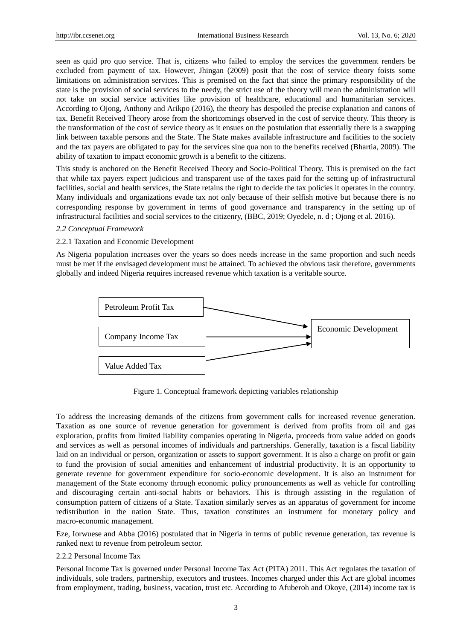seen as quid pro quo service. That is, citizens who failed to employ the services the government renders be excluded from payment of tax. However, Jhingan (2009) posit that the cost of service theory foists some limitations on administration services. This is premised on the fact that since the primary responsibility of the state is the provision of social services to the needy, the strict use of the theory will mean the administration will not take on social service activities like provision of healthcare, educational and humanitarian services. According to Ojong, Anthony and Arikpo (2016), the theory has despoiled the precise explanation and canons of tax. Benefit Received Theory arose from the shortcomings observed in the cost of service theory. This theory is the transformation of the cost of service theory as it ensues on the postulation that essentially there is a swapping link between taxable persons and the State. The State makes available infrastructure and facilities to the society and the tax payers are obligated to pay for the services sine qua non to the benefits received (Bhartia, 2009). The ability of taxation to impact economic growth is a benefit to the citizens.

This study is anchored on the Benefit Received Theory and Socio-Political Theory. This is premised on the fact that while tax payers expect judicious and transparent use of the taxes paid for the setting up of infrastructural facilities, social and health services, the State retains the right to decide the tax policies it operates in the country. Many individuals and organizations evade tax not only because of their selfish motive but because there is no corresponding response by government in terms of good governance and transparency in the setting up of infrastructural facilities and social services to the citizenry, (BBC, 2019; Oyedele, n. d ; Ojong et al. 2016).

### *2.2 Conceptual Framework*

#### 2.2.1 Taxation and Economic Development

As Nigeria population increases over the years so does needs increase in the same proportion and such needs must be met if the envisaged development must be attained. To achieved the obvious task therefore, governments globally and indeed Nigeria requires increased revenue which taxation is a veritable source.



Figure 1. Conceptual framework depicting variables relationship

To address the increasing demands of the citizens from government calls for increased revenue generation. Taxation as one source of revenue generation for government is derived from profits from oil and gas exploration, profits from limited liability companies operating in Nigeria, proceeds from value added on goods and services as well as personal incomes of individuals and partnerships. Generally, taxation is a fiscal liability laid on an individual or person, organization or assets to support government. It is also a charge on profit or gain to fund the provision of social amenities and enhancement of industrial productivity. It is an opportunity to generate revenue for government expenditure for socio-economic development. It is also an instrument for management of the State economy through economic policy pronouncements as well as vehicle for controlling and discouraging certain anti-social habits or behaviors. This is through assisting in the regulation of consumption pattern of citizens of a State. Taxation similarly serves as an apparatus of government for income redistribution in the nation State. Thus, taxation constitutes an instrument for monetary policy and macro-economic management.

Eze, Iorwuese and Abba (2016) postulated that in Nigeria in terms of public revenue generation, tax revenue is ranked next to revenue from petroleum sector.

#### 2.2.2 Personal Income Tax

Personal Income Tax is governed under Personal Income Tax Act (PITA) 2011. This Act regulates the taxation of individuals, sole traders, partnership, executors and trustees. Incomes charged under this Act are global incomes from employment, trading, business, vacation, trust etc. According to Afuberoh and Okoye, (2014) income tax is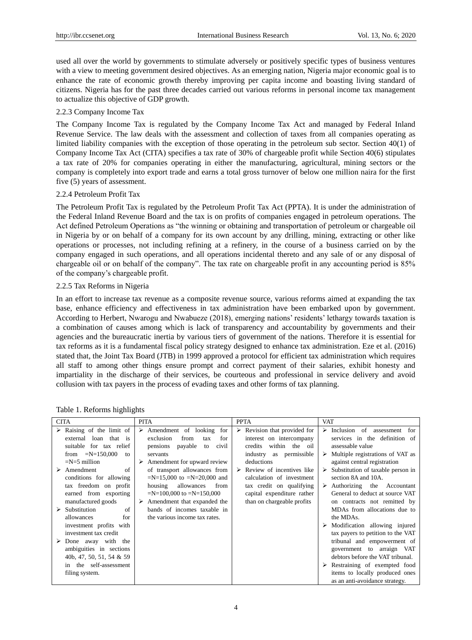used all over the world by governments to stimulate adversely or positively specific types of business ventures with a view to meeting government desired objectives. As an emerging nation, Nigeria major economic goal is to enhance the rate of economic growth thereby improving per capita income and boasting living standard of citizens. Nigeria has for the past three decades carried out various reforms in personal income tax management to actualize this objective of GDP growth.

# 2.2.3 Company Income Tax

The Company Income Tax is regulated by the Company Income Tax Act and managed by Federal Inland Revenue Service. The law deals with the assessment and collection of taxes from all companies operating as limited liability companies with the exception of those operating in the petroleum sub sector. Section 40(1) of Company Income Tax Act (CITA) specifies a tax rate of 30% of chargeable profit while Section 40(6) stipulates a tax rate of 20% for companies operating in either the manufacturing, agricultural, mining sectors or the company is completely into export trade and earns a total gross turnover of below one million naira for the first five (5) years of assessment.

# 2.2.4 Petroleum Profit Tax

The Petroleum Profit Tax is regulated by the Petroleum Profit Tax Act (PPTA). It is under the administration of the Federal Inland Revenue Board and the tax is on profits of companies engaged in petroleum operations. The Act defined Petroleum Operations as "the winning or obtaining and transportation of petroleum or chargeable oil in Nigeria by or on behalf of a company for its own account by any drilling, mining, extracting or other like operations or processes, not including refining at a refinery, in the course of a business carried on by the company engaged in such operations, and all operations incidental thereto and any sale of or any disposal of chargeable oil or on behalf of the company". The tax rate on chargeable profit in any accounting period is 85% of the company's chargeable profit.

# 2.2.5 Tax Reforms in Nigeria

In an effort to increase tax revenue as a composite revenue source, various reforms aimed at expanding the tax base, enhance efficiency and effectiveness in tax administration have been embarked upon by government. According to Herbert, Nwarogu and Nwabueze (2018), emerging nations' residents' lethargy towards taxation is a combination of causes among which is lack of transparency and accountability by governments and their agencies and the bureaucratic inertia by various tiers of government of the nations. Therefore it is essential for tax reforms as it is a fundamental fiscal policy strategy designed to enhance tax administration. Eze et al. (2016) stated that, the Joint Tax Board (JTB) in 1999 approved a protocol for efficient tax administration which requires all staff to among other things ensure prompt and correct payment of their salaries, exhibit honesty and impartiality in the discharge of their services, be courteous and professional in service delivery and avoid collusion with tax payers in the process of evading taxes and other forms of tax planning.

| <b>CITA</b>                                                                                                                                                                                                                                                                                                                                                                                                                                       |                       | <b>PITA</b>                                                                                                                                                                                                                                                                                                                                                                                               | <b>PPTA</b>                                                                                                                                                                                                                                                                                                      | <b>VAT</b>                                                                                                                                                                                                                                                                                                                                                                                                                                                                                                                                                                                                |
|---------------------------------------------------------------------------------------------------------------------------------------------------------------------------------------------------------------------------------------------------------------------------------------------------------------------------------------------------------------------------------------------------------------------------------------------------|-----------------------|-----------------------------------------------------------------------------------------------------------------------------------------------------------------------------------------------------------------------------------------------------------------------------------------------------------------------------------------------------------------------------------------------------------|------------------------------------------------------------------------------------------------------------------------------------------------------------------------------------------------------------------------------------------------------------------------------------------------------------------|-----------------------------------------------------------------------------------------------------------------------------------------------------------------------------------------------------------------------------------------------------------------------------------------------------------------------------------------------------------------------------------------------------------------------------------------------------------------------------------------------------------------------------------------------------------------------------------------------------------|
| $\triangleright$ Raising of the limit of<br>external loan that is<br>suitable for tax relief<br>from $=N=150,000$<br>$=N=5$ million<br>Amendment<br>➤<br>conditions for allowing<br>tax freedom on profit<br>earned from exporting<br>manufactured goods<br>Substitution<br>allowances<br>investment profits with<br>investment tax credit<br>Done away with the<br>ambiguities in sections<br>40b, 47, 50, 51, 54 & 59<br>in the self-assessment | to<br>of<br>of<br>for | $\triangleright$ Amendment of looking for<br>exclusion<br>from<br>for<br>tax<br>payable<br>pensions<br>to<br>civil<br>servants<br>Amendment for upward review<br>➤<br>of transport allowances from<br>$=N=15,000$ to $=N=20,000$ and<br>allowances<br>from<br>housing<br>$=N=100,000$ to $=N=150,000$<br>Amendment that expanded the<br>➤<br>bands of incomes taxable in<br>the various income tax rates. | $\triangleright$ Revision that provided for<br>interest on intercompany<br>within the oil<br>credits<br>industry as permissible<br>deductions<br>$\triangleright$ Review of incentives like<br>calculation of investment<br>tax credit on qualifying<br>capital expenditure rather<br>than on chargeable profits | Inclusion of assessment<br>for<br>services in the definition of<br>assessable value<br>$\triangleright$ Multiple registrations of VAT as<br>against central registration<br>Substitution of taxable person in<br>section 8A and 10A.<br>Authorizing the Accountant<br>General to deduct at source VAT<br>on contracts not remitted by<br>MDAs from allocations due to<br>the MDAs.<br>Modification allowing injured<br>tax payers to petition to the VAT<br>tribunal and empowerment of<br>government to arraign VAT<br>debtors before the VAT tribunal.<br>$\triangleright$ Restraining of exempted food |
| filing system.                                                                                                                                                                                                                                                                                                                                                                                                                                    |                       |                                                                                                                                                                                                                                                                                                                                                                                                           |                                                                                                                                                                                                                                                                                                                  | items to locally produced ones<br>as an anti-avoidance strategy.                                                                                                                                                                                                                                                                                                                                                                                                                                                                                                                                          |

|  |  | Table 1. Reforms highlights |  |  |
|--|--|-----------------------------|--|--|
|--|--|-----------------------------|--|--|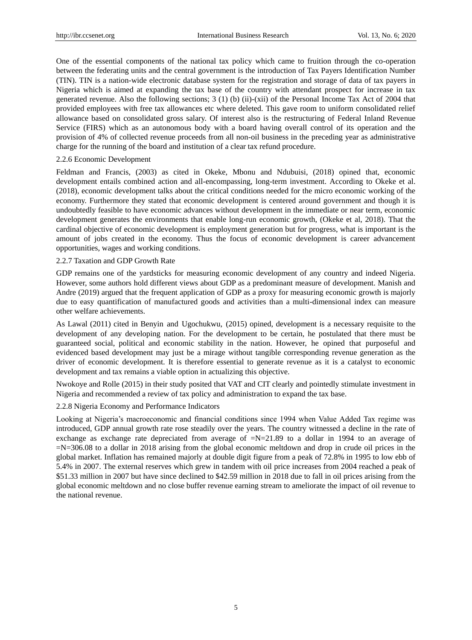One of the essential components of the national tax policy which came to fruition through the co-operation between the federating units and the central government is the introduction of Tax Payers Identification Number (TIN). TIN is a nation-wide electronic database system for the registration and storage of data of tax payers in Nigeria which is aimed at expanding the tax base of the country with attendant prospect for increase in tax generated revenue. Also the following sections; 3 (1) (b) (ii)-(xii) of the Personal Income Tax Act of 2004 that provided employees with free tax allowances etc where deleted. This gave room to uniform consolidated relief allowance based on consolidated gross salary. Of interest also is the restructuring of Federal Inland Revenue Service (FIRS) which as an autonomous body with a board having overall control of its operation and the provision of 4% of collected revenue proceeds from all non-oil business in the preceding year as administrative charge for the running of the board and institution of a clear tax refund procedure.

#### 2.2.6 Economic Development

Feldman and Francis, (2003) as cited in Okeke, Mbonu and Ndubuisi, (2018) opined that, economic development entails combined action and all-encompassing, long-term investment. According to Okeke et al. (2018), economic development talks about the critical conditions needed for the micro economic working of the economy. Furthermore they stated that economic development is centered around government and though it is undoubtedly feasible to have economic advances without development in the immediate or near term, economic development generates the environments that enable long-run economic growth, (Okeke et al, 2018). That the cardinal objective of economic development is employment generation but for progress, what is important is the amount of jobs created in the economy. Thus the focus of economic development is career advancement opportunities, wages and working conditions.

### 2.2.7 Taxation and GDP Growth Rate

GDP remains one of the yardsticks for measuring economic development of any country and indeed Nigeria. However, some authors hold different views about GDP as a predominant measure of development. Manish and Andre (2019) argued that the frequent application of GDP as a proxy for measuring economic growth is majorly due to easy quantification of manufactured goods and activities than a multi-dimensional index can measure other welfare achievements.

As Lawal (2011) cited in Benyin and Ugochukwu, (2015) opined, development is a necessary requisite to the development of any developing nation. For the development to be certain, he postulated that there must be guaranteed social, political and economic stability in the nation. However, he opined that purposeful and evidenced based development may just be a mirage without tangible corresponding revenue generation as the driver of economic development. It is therefore essential to generate revenue as it is a catalyst to economic development and tax remains a viable option in actualizing this objective.

Nwokoye and Rolle (2015) in their study posited that VAT and CIT clearly and pointedly stimulate investment in Nigeria and recommended a review of tax policy and administration to expand the tax base.

# 2.2.8 Nigeria Economy and Performance Indicators

Looking at Nigeria's macroeconomic and financial conditions since 1994 when Value Added Tax regime was introduced, GDP annual growth rate rose steadily over the years. The country witnessed a decline in the rate of exchange as exchange rate depreciated from average of  $=N=21.89$  to a dollar in 1994 to an average of =N=306.08 to a dollar in 2018 arising from the global economic meltdown and drop in crude oil prices in the global market. Inflation has remained majorly at double digit figure from a peak of 72.8% in 1995 to low ebb of 5.4% in 2007. The external reserves which grew in tandem with oil price increases from 2004 reached a peak of \$51.33 million in 2007 but have since declined to \$42.59 million in 2018 due to fall in oil prices arising from the global economic meltdown and no close buffer revenue earning stream to ameliorate the impact of oil revenue to the national revenue.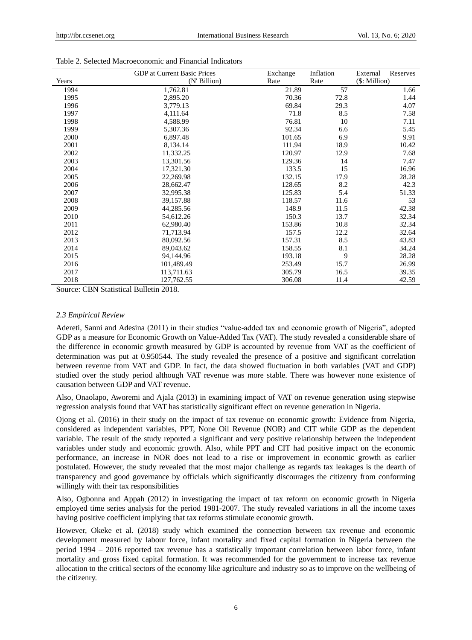|       | <b>GDP</b> at Current Basic Prices | Exchange | Inflation | External<br>Reserves |
|-------|------------------------------------|----------|-----------|----------------------|
| Years | (N' Billion)                       | Rate     | Rate      | (\$: Million)        |
| 1994  | 1,762.81                           | 21.89    | 57        | 1.66                 |
| 1995  | 2,895.20                           | 70.36    | 72.8      | 1.44                 |
| 1996  | 3,779.13                           | 69.84    | 29.3      | 4.07                 |
| 1997  | 4,111.64                           | 71.8     | 8.5       | 7.58                 |
| 1998  | 4,588.99                           | 76.81    | 10        | 7.11                 |
| 1999  | 5,307.36                           | 92.34    | 6.6       | 5.45                 |
| 2000  | 6,897.48                           | 101.65   | 6.9       | 9.91                 |
| 2001  | 8,134.14                           | 111.94   | 18.9      | 10.42                |
| 2002  | 11,332.25                          | 120.97   | 12.9      | 7.68                 |
| 2003  | 13,301.56                          | 129.36   | 14        | 7.47                 |
| 2004  | 17,321.30                          | 133.5    | 15        | 16.96                |
| 2005  | 22,269.98                          | 132.15   | 17.9      | 28.28                |
| 2006  | 28,662.47                          | 128.65   | 8.2       | 42.3                 |
| 2007  | 32,995.38                          | 125.83   | 5.4       | 51.33                |
| 2008  | 39,157.88                          | 118.57   | 11.6      | 53                   |
| 2009  | 44,285.56                          | 148.9    | 11.5      | 42.38                |
| 2010  | 54,612.26                          | 150.3    | 13.7      | 32.34                |
| 2011  | 62,980.40                          | 153.86   | 10.8      | 32.34                |
| 2012  | 71,713.94                          | 157.5    | 12.2      | 32.64                |
| 2013  | 80,092.56                          | 157.31   | 8.5       | 43.83                |
| 2014  | 89,043.62                          | 158.55   | 8.1       | 34.24                |
| 2015  | 94,144.96                          | 193.18   | 9         | 28.28                |
| 2016  | 101,489.49                         | 253.49   | 15.7      | 26.99                |
| 2017  | 113,711.63                         | 305.79   | 16.5      | 39.35                |
| 2018  | 127,762.55                         | 306.08   | 11.4      | 42.59                |

#### Table 2. Selected Macroeconomic and Financial Indicators

Source: CBN Statistical Bulletin 2018.

#### *2.3 Empirical Review*

Adereti, Sanni and Adesina (2011) in their studies "value-added tax and economic growth of Nigeria", adopted GDP as a measure for Economic Growth on Value-Added Tax (VAT). The study revealed a considerable share of the difference in economic growth measured by GDP is accounted by revenue from VAT as the coefficient of determination was put at 0.950544. The study revealed the presence of a positive and significant correlation between revenue from VAT and GDP. In fact, the data showed fluctuation in both variables (VAT and GDP) studied over the study period although VAT revenue was more stable. There was however none existence of causation between GDP and VAT revenue.

Also, Onaolapo, Aworemi and Ajala (2013) in examining impact of VAT on revenue generation using stepwise regression analysis found that VAT has statistically significant effect on revenue generation in Nigeria.

Ojong et al. (2016) in their study on the impact of tax revenue on economic growth: Evidence from Nigeria, considered as independent variables, PPT, None Oil Revenue (NOR) and CIT while GDP as the dependent variable. The result of the study reported a significant and very positive relationship between the independent variables under study and economic growth. Also, while PPT and CIT had positive impact on the economic performance, an increase in NOR does not lead to a rise or improvement in economic growth as earlier postulated. However, the study revealed that the most major challenge as regards tax leakages is the dearth of transparency and good governance by officials which significantly discourages the citizenry from conforming willingly with their tax responsibilities

Also, Ogbonna and Appah (2012) in investigating the impact of tax reform on economic growth in Nigeria employed time series analysis for the period 1981-2007. The study revealed variations in all the income taxes having positive coefficient implying that tax reforms stimulate economic growth.

However, Okeke et al. (2018) study which examined the connection between tax revenue and economic development measured by labour force, infant mortality and fixed capital formation in Nigeria between the period 1994 – 2016 reported tax revenue has a statistically important correlation between labor force, infant mortality and gross fixed capital formation. It was recommended for the government to increase tax revenue allocation to the critical sectors of the economy like agriculture and industry so as to improve on the wellbeing of the citizenry.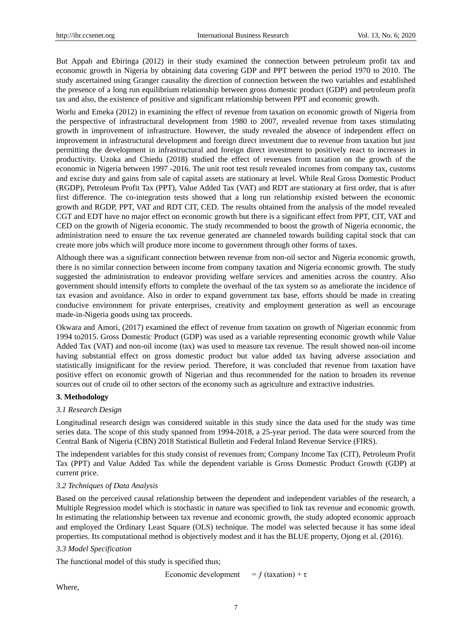But Appah and Ebiringa (2012) in their study examined the connection between petroleum profit tax and economic growth in Nigeria by obtaining data covering GDP and PPT between the period 1970 to 2010. The study ascertained using Granger causality the direction of connection between the two variables and established the presence of a long run equilibrium relationship between gross domestic product (GDP) and petroleum profit tax and also, the existence of positive and significant relationship between PPT and economic growth.

Worlu and Emeka (2012) in examining the effect of revenue from taxation on economic growth of Nigeria from the perspective of infrastructural development from 1980 to 2007, revealed revenue from taxes stimulating growth in improvement of infrastructure. However, the study revealed the absence of independent effect on improvement in infrastructural development and foreign direct investment due to revenue from taxation but just permitting the development in infrastructural and foreign direct investment to positively react to increases in productivity. Uzoka and Chiedu (2018) studied the effect of revenues from taxation on the growth of the economic in Nigeria between 1997 -2016. The unit root test result revealed incomes from company tax, customs and excise duty and gains from sale of capital assets are stationary at level. While Real Gross Domestic Product (RGDP), Petroleum Profit Tax (PPT), Value Added Tax (VAT) and RDT are stationary at first order, that is after first difference. The co-integration tests showed that a long run relationship existed between the economic growth and RGDP, PPT, VAT and RDT CIT, CED. The results obtained from the analysis of the model revealed CGT and EDT have no major effect on economic growth but there is a significant effect from PPT, CIT, VAT and CED on the growth of Nigeria economic. The study recommended to boost the growth of Nigeria economic, the administration need to ensure the tax revenue generated are channeled towards building capital stock that can create more jobs which will produce more income to government through other forms of taxes.

Although there was a significant connection between revenue from non-oil sector and Nigeria economic growth, there is no similar connection between income from company taxation and Nigeria economic growth. The study suggested the administration to endeavor providing welfare services and amenities across the country. Also government should intensify efforts to complete the overhaul of the tax system so as ameliorate the incidence of tax evasion and avoidance. Also in order to expand government tax base, efforts should be made in creating conducive environment for private enterprises, creativity and employment generation as well as encourage made-in-Nigeria goods using tax proceeds.

Okwara and Amori, (2017) examined the effect of revenue from taxation on growth of Nigerian economic from 1994 to2015. Gross Domestic Product (GDP) was used as a variable representing economic growth while Value Added Tax (VAT) and non-oil income (tax) was used to measure tax revenue. The result showed non-oil income having substantial effect on gross domestic product but value added tax having adverse association and statistically insignificant for the review period. Therefore, it was concluded that revenue from taxation have positive effect on economic growth of Nigerian and thus recommended for the nation to broaden its revenue sources out of crude oil to other sectors of the economy such as agriculture and extractive industries.

#### **3. Methodology**

## *3.1 Research Design*

Longitudinal research design was considered suitable in this study since the data used for the study was time series data. The scope of this study spanned from 1994-2018, a 25-year period. The data were sourced from the Central Bank of Nigeria (CBN) 2018 Statistical Bulletin and Federal Inland Revenue Service (FIRS).

The independent variables for this study consist of revenues from; Company Income Tax (CIT), Petroleum Profit Tax (PPT) and Value Added Tax while the dependent variable is Gross Domestic Product Growth (GDP) at current price.

#### *3.2 Techniques of Data Analysis*

Based on the perceived causal relationship between the dependent and independent variables of the research, a Multiple Regression model which is stochastic in nature was specified to link tax revenue and economic growth. In estimating the relationship between tax revenue and economic growth, the study adopted economic approach and employed the Ordinary Least Square (OLS) technique. The model was selected because it has some ideal properties. Its computational method is objectively modest and it has the BLUE property, Ojong et al. (2016).

# *3.3 Model Specification*

The functional model of this study is specified thus;

Economic development =  $f$  (taxation) + τ

Where,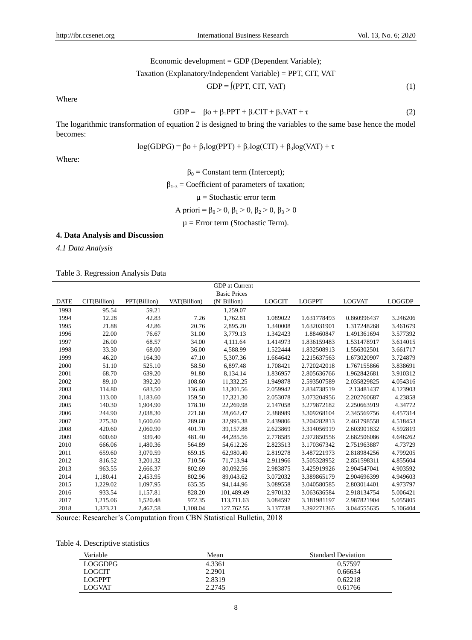Economic development = GDP (Dependent Variable);

$$
Taxation (Explanatory/Independent Variable) = PPT, CIT, VAT
$$

$$
GDP = J(PPT, CIT, VAT)
$$
 (1)

Where

$$
GDP = \beta_0 + \beta_1 PPT + \beta_2 CIT + \beta_3 VAT + \tau \tag{2}
$$

The logarithmic transformation of equation 2 is designed to bring the variables to the same base hence the model becomes:

$$
log(GDPG) = \beta o + \beta_1 log(PPT) + \beta_2 log(CIT) + \beta_3 log(VAT) + \tau
$$

Where:

 $\beta_0$  = Constant term (Intercept);

 $\beta_{1-3}$  = Coefficient of parameters of taxation;

 $\mu$  = Stochastic error term

A priori = 
$$
\beta_0
$$
 > 0,  $\beta_1$  > 0,  $\beta_2$  > 0,  $\beta_3$  > 0

 $\mu$  = Error term (Stochastic Term).

# **4. Data Analysis and Discussion**

*4.1 Data Analysis*

# Table 3. Regression Analysis Data

|             |              |              |              | GDP at Current      |               |               |               |               |
|-------------|--------------|--------------|--------------|---------------------|---------------|---------------|---------------|---------------|
|             |              |              |              | <b>Basic Prices</b> |               |               |               |               |
| <b>DATE</b> | CIT(Billion) | PPT(Billion) | VAT(Billion) | (N' Billion)        | <b>LOGCIT</b> | <b>LOGPPT</b> | <b>LOGVAT</b> | <b>LOGGDP</b> |
| 1993        | 95.54        | 59.21        |              | 1,259.07            |               |               |               |               |
| 1994        | 12.28        | 42.83        | 7.26         | 1,762.81            | 1.089022      | 1.631778493   | 0.860996437   | 3.246206      |
| 1995        | 21.88        | 42.86        | 20.76        | 2,895.20            | 1.340008      | 1.632031901   | 1.317248268   | 3.461679      |
| 1996        | 22.00        | 76.67        | 31.00        | 3,779.13            | 1.342423      | 1.88460847    | 1.491361694   | 3.577392      |
| 1997        | 26.00        | 68.57        | 34.00        | 4,111.64            | 1.414973      | 1.836159483   | 1.531478917   | 3.614015      |
| 1998        | 33.30        | 68.00        | 36.00        | 4,588.99            | 1.522444      | 1.832508913   | 1.556302501   | 3.661717      |
| 1999        | 46.20        | 164.30       | 47.10        | 5,307.36            | 1.664642      | 2.215637563   | 1.673020907   | 3.724879      |
| 2000        | 51.10        | 525.10       | 58.50        | 6.897.48            | 1.708421      | 2.720242018   | 1.767155866   | 3.838691      |
| 2001        | 68.70        | 639.20       | 91.80        | 8,134.14            | 1.836957      | 2.805636766   | 1.962842681   | 3.910312      |
| 2002        | 89.10        | 392.20       | 108.60       | 11,332.25           | 1.949878      | 2.593507589   | 2.035829825   | 4.054316      |
| 2003        | 114.80       | 683.50       | 136.40       | 13,301.56           | 2.059942      | 2.834738519   | 2.13481437    | 4.123903      |
| 2004        | 113.00       | 1,183.60     | 159.50       | 17,321.30           | 2.053078      | 3.073204956   | 2.202760687   | 4.23858       |
| 2005        | 140.30       | 1,904.90     | 178.10       | 22,269.98           | 2.147058      | 3.279872182   | 2.250663919   | 4.34772       |
| 2006        | 244.90       | 2,038.30     | 221.60       | 28,662.47           | 2.388989      | 3.309268104   | 2.345569756   | 4.457314      |
| 2007        | 275.30       | 1,600.60     | 289.60       | 32,995.38           | 2.439806      | 3.204282813   | 2.461798558   | 4.518453      |
| 2008        | 420.60       | 2,060.90     | 401.70       | 39,157.88           | 2.623869      | 3.314056919   | 2.603901832   | 4.592819      |
| 2009        | 600.60       | 939.40       | 481.40       | 44,285.56           | 2.778585      | 2.972850556   | 2.682506086   | 4.646262      |
| 2010        | 666.06       | 1,480.36     | 564.89       | 54,612.26           | 2.823513      | 3.170367342   | 2.751963887   | 4.73729       |
| 2011        | 659.60       | 3,070.59     | 659.15       | 62,980.40           | 2.819278      | 3.487221973   | 2.818984256   | 4.799205      |
| 2012        | 816.52       | 3,201.32     | 710.56       | 71,713.94           | 2.911966      | 3.505328952   | 2.851598311   | 4.855604      |
| 2013        | 963.55       | 2,666.37     | 802.69       | 80,092.56           | 2.983875      | 3.425919926   | 2.904547041   | 4.903592      |
| 2014        | 1,180.41     | 2,453.95     | 802.96       | 89,043.62           | 3.072032      | 3.389865179   | 2.904696399   | 4.949603      |
| 2015        | 1,229.02     | 1,097.95     | 635.35       | 94,144.96           | 3.089558      | 3.040580585   | 2.803014401   | 4.973797      |
| 2016        | 933.54       | 1,157.81     | 828.20       | 101,489.49          | 2.970132      | 3.063636584   | 2.918134754   | 5.006421      |
| 2017        | 1,215.06     | 1,520.48     | 972.35       | 113,711.63          | 3.084597      | 3.181981197   | 2.987821904   | 5.055805      |
| 2018        | 1.373.21     | 2.467.58     | 1.108.04     | 127,762.55          | 3.137738      | 3.392271365   | 3.044555635   | 5.106404      |

Source: Researcher's Computation from CBN Statistical Bulletin, 2018

Table 4. Descriptive statistics

| Variable      | Mean   | <b>Standard Deviation</b> |
|---------------|--------|---------------------------|
| LOGGDPG       | 4.3361 | 0.57597                   |
| <b>LOGCIT</b> | 2.2901 | 0.66634                   |
| <b>LOGPPT</b> | 2.8319 | 0.62218                   |
| <b>LOGVAT</b> | 2.2745 | 0.61766                   |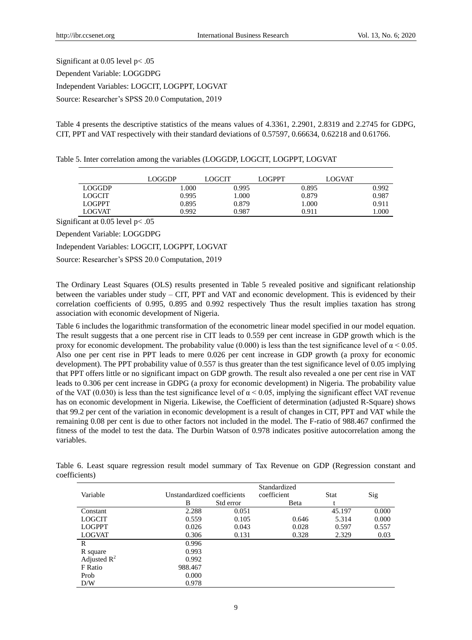Significant at 0.05 level p< .05 Dependent Variable: LOGGDPG Independent Variables: LOGCIT, LOGPPT, LOGVAT Source: Researcher's SPSS 20.0 Computation, 2019

Table 4 presents the descriptive statistics of the means values of 4.3361, 2.2901, 2.8319 and 2.2745 for GDPG, CIT, PPT and VAT respectively with their standard deviations of 0.57597, 0.66634, 0.62218 and 0.61766.

| Table 5. Inter correlation among the variables (LOGGDP, LOGCIT, LOGPPT, LOGVAT |  |
|--------------------------------------------------------------------------------|--|
|--------------------------------------------------------------------------------|--|

|               | LOGGDP | LOGCIT | LOGPPT | <b>LOGVAT</b> |
|---------------|--------|--------|--------|---------------|
| LOGGDP        | l.000  | 0.995  | 0.895  | 0.992         |
| LOGCIT        | 0.995  | 1.000  | 0.879  | 0.987         |
| <b>LOGPPT</b> | 0.895  | 0.879  | 1.000  | 0.911         |
| <b>LOGVAT</b> | 0.992  | 0.987  | 0.911  | .000          |
|               |        |        |        |               |

Significant at 0.05 level p< .05

Dependent Variable: LOGGDPG

Independent Variables: LOGCIT, LOGPPT, LOGVAT

Source: Researcher's SPSS 20.0 Computation, 2019

The Ordinary Least Squares (OLS) results presented in Table 5 revealed positive and significant relationship between the variables under study – CIT, PPT and VAT and economic development. This is evidenced by their correlation coefficients of 0.995, 0.895 and 0.992 respectively Thus the result implies taxation has strong association with economic development of Nigeria.

Table 6 includes the logarithmic transformation of the econometric linear model specified in our model equation. The result suggests that a one percent rise in CIT leads to 0.559 per cent increase in GDP growth which is the proxy for economic development. The probability value (0.000) is less than the test significance level of  $\alpha$  < 0.05. Also one per cent rise in PPT leads to mere 0.026 per cent increase in GDP growth (a proxy for economic development). The PPT probability value of 0.557 is thus greater than the test significance level of 0.05 implying that PPT offers little or no significant impact on GDP growth. The result also revealed a one per cent rise in VAT leads to 0.306 per cent increase in GDPG (a proxy for economic development) in Nigeria. The probability value of the VAT (0.030) is less than the test significance level of  $\alpha$  < 0.05, implying the significant effect VAT revenue has on economic development in Nigeria. Likewise, the Coefficient of determination (adjusted R-Square) shows that 99.2 per cent of the variation in economic development is a result of changes in CIT, PPT and VAT while the remaining 0.08 per cent is due to other factors not included in the model. The F-ratio of 988.467 confirmed the fitness of the model to test the data. The Durbin Watson of 0.978 indicates positive autocorrelation among the variables.

|                |                             | Standardized |             |        |       |  |
|----------------|-----------------------------|--------------|-------------|--------|-------|--|
| Variable       | Unstandardized coefficients |              | coefficient | Stat   | Sig   |  |
|                | B                           | Std error    | Beta        |        |       |  |
| Constant       | 2.288                       | 0.051        |             | 45.197 | 0.000 |  |
| <b>LOGCIT</b>  | 0.559                       | 0.105        | 0.646       | 5.314  | 0.000 |  |
| <b>LOGPPT</b>  | 0.026                       | 0.043        | 0.028       | 0.597  | 0.557 |  |
| <b>LOGVAT</b>  | 0.306                       | 0.131        | 0.328       | 2.329  | 0.03  |  |
| R              | 0.996                       |              |             |        |       |  |
| R square       | 0.993                       |              |             |        |       |  |
| Adjusted $R^2$ | 0.992                       |              |             |        |       |  |
| F Ratio        | 988.467                     |              |             |        |       |  |
| Prob           | 0.000                       |              |             |        |       |  |
| D/W            | 0.978                       |              |             |        |       |  |

Table 6. Least square regression result model summary of Tax Revenue on GDP (Regression constant and coefficients)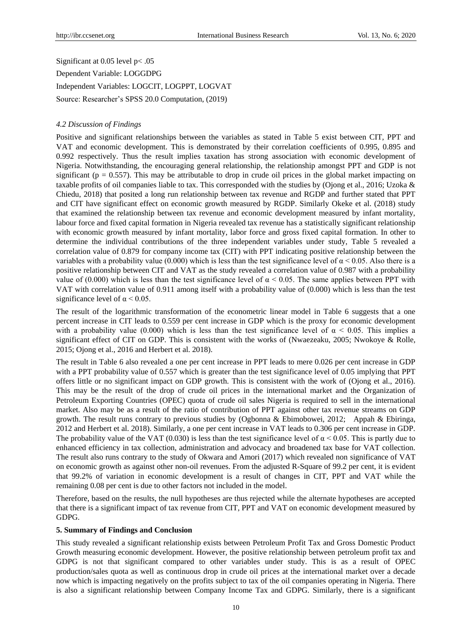Significant at 0.05 level p< .05

Dependent Variable: LOGGDPG Independent Variables: LOGCIT, LOGPPT, LOGVAT Source: Researcher's SPSS 20.0 Computation, (2019)

# *4.2 Discussion of Findings*

Positive and significant relationships between the variables as stated in Table 5 exist between CIT, PPT and VAT and economic development. This is demonstrated by their correlation coefficients of 0.995, 0.895 and 0.992 respectively. Thus the result implies taxation has strong association with economic development of Nigeria. Notwithstanding, the encouraging general relationship, the relationship amongst PPT and GDP is not significant ( $p = 0.557$ ). This may be attributable to drop in crude oil prices in the global market impacting on taxable profits of oil companies liable to tax. This corresponded with the studies by (Ojong et al., 2016; Uzoka & Chiedu, 2018) that posited a long run relationship between tax revenue and RGDP and further stated that PPT and CIT have significant effect on economic growth measured by RGDP. Similarly Okeke et al. (2018) study that examined the relationship between tax revenue and economic development measured by infant mortality, labour force and fixed capital formation in Nigeria revealed tax revenue has a statistically significant relationship with economic growth measured by infant mortality, labor force and gross fixed capital formation. In other to determine the individual contributions of the three independent variables under study, Table 5 revealed a correlation value of 0.879 for company income tax (CIT) with PPT indicating positive relationship between the variables with a probability value (0.000) which is less than the test significance level of  $\alpha$  < 0.05. Also there is a positive relationship between CIT and VAT as the study revealed a correlation value of 0.987 with a probability value of (0.000) which is less than the test significance level of  $\alpha$  < 0.05. The same applies between PPT with VAT with correlation value of 0.911 among itself with a probability value of (0.000) which is less than the test significance level of  $\alpha$  < 0.05.

The result of the logarithmic transformation of the econometric linear model in Table 6 suggests that a one percent increase in CIT leads to 0.559 per cent increase in GDP which is the proxy for economic development with a probability value (0.000) which is less than the test significance level of  $\alpha$  < 0.05. This implies a significant effect of CIT on GDP. This is consistent with the works of (Nwaezeaku, 2005; Nwokoye & Rolle, 2015; Ojong et al., 2016 and Herbert et al. 2018).

The result in Table 6 also revealed a one per cent increase in PPT leads to mere 0.026 per cent increase in GDP with a PPT probability value of 0.557 which is greater than the test significance level of 0.05 implying that PPT offers little or no significant impact on GDP growth. This is consistent with the work of (Ojong et al., 2016). This may be the result of the drop of crude oil prices in the international market and the Organization of Petroleum Exporting Countries (OPEC) quota of crude oil sales Nigeria is required to sell in the international market. Also may be as a result of the ratio of contribution of PPT against other tax revenue streams on GDP growth. The result runs contrary to previous studies by (Ogbonna & Ebimobowei, 2012; Appah & Ebiringa, 2012 and Herbert et al. 2018). Similarly, a one per cent increase in VAT leads to 0.306 per cent increase in GDP. The probability value of the VAT (0.030) is less than the test significance level of  $\alpha$  < 0.05. This is partly due to enhanced efficiency in tax collection, administration and advocacy and broadened tax base for VAT collection. The result also runs contrary to the study of Okwara and Amori (2017) which revealed non significance of VAT on economic growth as against other non-oil revenues. From the adjusted R-Square of 99.2 per cent, it is evident that 99.2% of variation in economic development is a result of changes in CIT, PPT and VAT while the remaining 0.08 per cent is due to other factors not included in the model.

Therefore, based on the results, the null hypotheses are thus rejected while the alternate hypotheses are accepted that there is a significant impact of tax revenue from CIT, PPT and VAT on economic development measured by GDPG.

# **5. Summary of Findings and Conclusion**

This study revealed a significant relationship exists between Petroleum Profit Tax and Gross Domestic Product Growth measuring economic development. However, the positive relationship between petroleum profit tax and GDPG is not that significant compared to other variables under study. This is as a result of OPEC production/sales quota as well as continuous drop in crude oil prices at the international market over a decade now which is impacting negatively on the profits subject to tax of the oil companies operating in Nigeria. There is also a significant relationship between Company Income Tax and GDPG. Similarly, there is a significant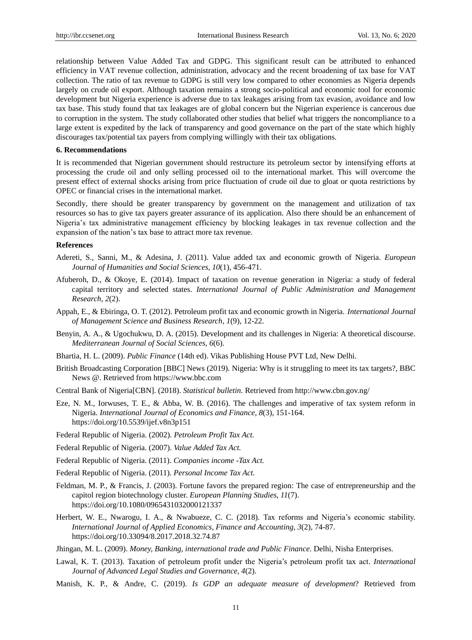relationship between Value Added Tax and GDPG. This significant result can be attributed to enhanced efficiency in VAT revenue collection, administration, advocacy and the recent broadening of tax base for VAT collection. The ratio of tax revenue to GDPG is still very low compared to other economies as Nigeria depends largely on crude oil export. Although taxation remains a strong socio-political and economic tool for economic development but Nigeria experience is adverse due to tax leakages arising from tax evasion, avoidance and low tax base. This study found that tax leakages are of global concern but the Nigerian experience is cancerous due to corruption in the system. The study collaborated other studies that belief what triggers the noncompliance to a large extent is expedited by the lack of transparency and good governance on the part of the state which highly discourages tax/potential tax payers from complying willingly with their tax obligations.

#### **6. Recommendations**

It is recommended that Nigerian government should restructure its petroleum sector by intensifying efforts at processing the crude oil and only selling processed oil to the international market. This will overcome the present effect of external shocks arising from price fluctuation of crude oil due to gloat or quota restrictions by OPEC or financial crises in the international market.

Secondly, there should be greater transparency by government on the management and utilization of tax resources so has to give tax payers greater assurance of its application. Also there should be an enhancement of Nigeria's tax administrative management efficiency by blocking leakages in tax revenue collection and the expansion of the nation's tax base to attract more tax revenue.

#### **References**

- Adereti, S., Sanni, M., & Adesina, J. (2011). Value added tax and economic growth of Nigeria. *European Journal of Humanities and Social Sciences*, *10*(1), 456-471.
- Afuberoh, D., & Okoye, E. (2014). Impact of taxation on revenue generation in Nigeria: a study of federal capital territory and selected states. *International Journal of Public Administration and Management Research, 2*(2).
- Appah, E., & Ebiringa, O. T. (2012). Petroleum profit tax and economic growth in Nigeria. *International Journal of Management Science and Business Research*, *1*(9), 12-22.
- Benyin, A. A., & Ugochukwu, D. A. (2015). Development and its challenges in Nigeria: A theoretical discourse. *Mediterranean Journal of Social Sciences, 6*(6).
- Bhartia, H. L. (2009). *Public Finance* (14th ed). Vikas Publishing House PVT Ltd, New Delhi.
- British Broadcasting Corporation [BBC] News (2019). Nigeria: Why is it struggling to meet its tax targets?, BBC News @. Retrieved from https://www.bbc.com
- Central Bank of Nigeria[CBN]. (2018). *Statistical bulletin.* Retrieved from http://www.cbn.gov.ng/
- Eze, N. M., Iorwuses, T. E., & Abba, W. B. (2016). The challenges and imperative of tax system reform in Nigeria. *International Journal of Economics and Finance*, *8*(3), 151-164. https://doi.org/10.5539/ijef.v8n3p151
- Federal Republic of Nigeria. (2002). *Petroleum Profit Tax Act.*
- Federal Republic of Nigeria. (2007). *Value Added Tax Act.*
- Federal Republic of Nigeria. (2011). *Companies income -Tax Act.*
- Federal Republic of Nigeria. (2011). *Personal Income Tax Act.*
- Feldman, M. P., & Francis, J. (2003). Fortune favors the prepared region: The case of entrepreneurship and the capitol region biotechnology cluster. *European Planning Studies*, *11*(7). https://doi.org/10.1080/0965431032000121337
- Herbert, W. E., Nwarogu, I. A., & Nwabueze, C. C. (2018). Tax reforms and Nigeria's economic stability. *International Journal of Applied Economics, Finance and Accounting*, *3*(2), 74-87. https://doi.org/10.33094/8.2017.2018.32.74.87
- Jhingan, M. L. (2009). *Money, Banking, international trade and Public Finance*. Delhi, Nisha Enterprises.
- Lawal, K. T. (2013). Taxation of petroleum profit under the Nigeria's petroleum profit tax act. *International Journal of Advanced Legal Studies and Governance, 4*(2).
- Manish, K. P., & Andre, C. (2019). *Is GDP an adequate measure of development*? Retrieved from